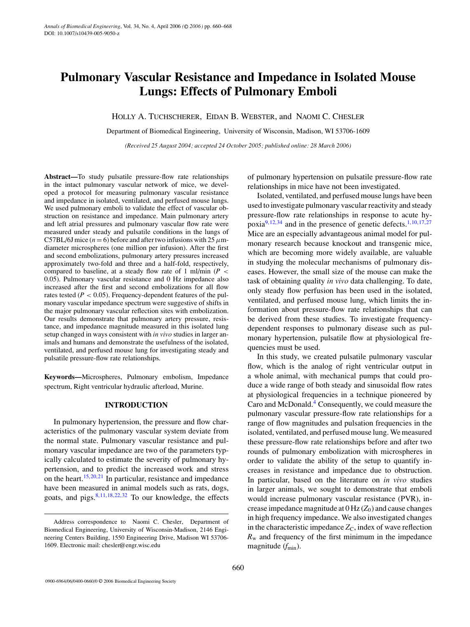# **Pulmonary Vascular Resistance and Impedance in Isolated Mouse Lungs: Effects of Pulmonary Emboli**

HOLLY A. TUCHSCHERER, EIDAN B. WEBSTER, and NAOMI C. CHESLER

Department of Biomedical Engineering, University of Wisconsin, Madison, WI 53706-1609

*(Received 25 August 2004; accepted 24 October 2005; published online: 28 March 2006)*

**Abstract—**To study pulsatile pressure-flow rate relationships in the intact pulmonary vascular network of mice, we developed a protocol for measuring pulmonary vascular resistance and impedance in isolated, ventilated, and perfused mouse lungs. We used pulmonary emboli to validate the effect of vascular obstruction on resistance and impedance. Main pulmonary artery and left atrial pressures and pulmonary vascular flow rate were measured under steady and pulsatile conditions in the lungs of C57BL/6J mice  $(n = 6)$  before and after two infusions with 25  $\mu$ mdiameter microspheres (one million per infusion). After the first and second embolizations, pulmonary artery pressures increased approximately two-fold and three and a half-fold, respectively, compared to baseline, at a steady flow rate of 1 ml/min  $(P \leq$ 0.05). Pulmonary vascular resistance and 0 Hz impedance also increased after the first and second embolizations for all flow rates tested  $(P < 0.05)$ . Frequency-dependent features of the pulmonary vascular impedance spectrum were suggestive of shifts in the major pulmonary vascular reflection sites with embolization. Our results demonstrate that pulmonary artery pressure, resistance, and impedance magnitude measured in this isolated lung setup changed in ways consistent with *in vivo* studies in larger animals and humans and demonstrate the usefulness of the isolated, ventilated, and perfused mouse lung for investigating steady and pulsatile pressure-flow rate relationships.

**Keywords—**Microspheres, Pulmonary embolism, Impedance spectrum, Right ventricular hydraulic afterload, Murine.

## **INTRODUCTION**

In pulmonary hypertension, the pressure and flow characteristics of the pulmonary vascular system deviate from the normal state. Pulmonary vascular resistance and pulmonary vascular impedance are two of the parameters typically calculated to estimate the severity of pulmonary hypertension, and to predict the increased work and stress on the heart[.](#page-8-0)<sup>15,20,21</sup> In particular, resistance and impedance have been measured in animal models such as rats, dogs, goats, and pigs[.](#page-7-0) $8,11,18,22,32$  To our knowledge, the effects

of pulmonary hypertension on pulsatile pressure-flow rate relationships in mice have not been investigated.

Isolated, ventilated, and perfused mouse lungs have been used to investigate pulmonary vascular reactivity and steady pressure-flow rate relationships in response to acute hypoxi[a](#page-7-2)<sup>9,12,34</sup> and in the presence of genetic defects[.](#page-7-4)<sup>1,10,17,27</sup> Mice are an especially advantageous animal model for pulmonary research because knockout and transgenic mice, which are becoming more widely available, are valuable in studying the molecular mechanisms of pulmonary diseases. However, the small size of the mouse can make the task of obtaining quality *in vivo* data challenging. To date, only steady flow perfusion has been used in the isolated, ventilated, and perfused mouse lung, which limits the information about pressure-flow rate relationships that can be derived from these studies. To investigate frequencydependent responses to pulmonary disease such as pulmonary hypertension, pulsatile flow at physiological frequencies must be used.

In this study, we created pulsatile pulmonary vascular flow, which is the analog of right ventricular output in a whole animal, with mechanical pumps that could produce a wide range of both steady and sinusoidal flow rates at physiological frequencies in a technique pioneered by Caro and McDonald[.](#page-7-6)4 Consequently, we could measure the pulmonary vascular pressure-flow rate relationships for a range of flow magnitudes and pulsation frequencies in the isolated, ventilated, and perfused mouse lung. We measured these pressure-flow rate relationships before and after two rounds of pulmonary embolization with microspheres in order to validate the ability of the setup to quantify increases in resistance and impedance due to obstruction. In particular, based on the literature on *in vivo* studies in larger animals, we sought to demonstrate that emboli would increase pulmonary vascular resistance (PVR), increase impedance magnitude at  $0$  Hz  $(Z_0)$  and cause changes in high frequency impedance. We also investigated changes in the characteristic impedance  $Z_C$ , index of wave reflection  $R<sub>w</sub>$  and frequency of the first minimum in the impedance magnitude ( $f_{\text{min}}$ ).

Address correspondence to Naomi C. Chesler, Department of Biomedical Engineering, University of Wisconsin-Madison, 2146 Engineering Centers Building, 1550 Engineering Drive, Madison WI 53706- 1609. Electronic mail: chesler@engr.wisc.edu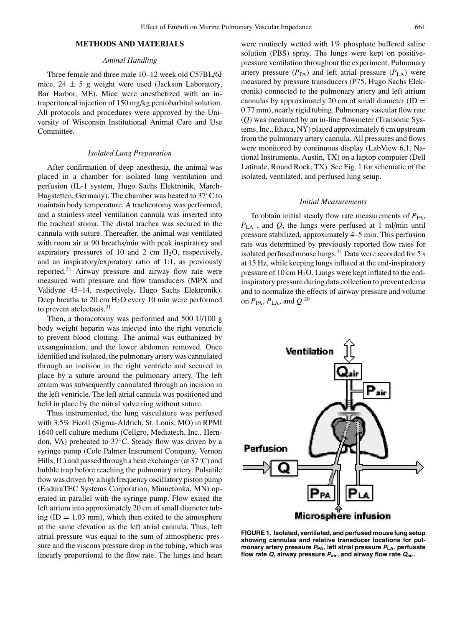# **METHODS AND MATERIALS**

## *Animal Handling*

Three female and three male 10–12 week old C57BL/6J mice,  $24 \pm 5$  g weight were used (Jackson Laboratory, Bar Harbor, ME). Mice were anesthetized with an intraperitoneal injection of 150 mg/kg pentobarbital solution. All protocols and procedures were approved by the University of Wisconsin Institutional Animal Care and Use Committee.

# *Isolated Lung Preparation*

After confirmation of deep anesthesia, the animal was placed in a chamber for isolated lung ventilation and perfusion (IL-1 system, Hugo Sachs Elektronik, March-Hugstetten, Germany). The chamber was heated to 37◦C to maintain body temperature. A tracheotomy was performed, and a stainless steel ventilation cannula was inserted into the tracheal stoma. The distal trachea was secured to the cannula with suture. Thereafter, the animal was ventilated with room air at 90 breaths/min with peak inspiratory and expiratory pressures of 10 and 2 cm  $H_2O$ , respectively, and an inspiratory/expiratory ratio of 1:1, as previously reported[.](#page-8-7)<sup>31</sup> Airway pressure and airway flow rate were measured with pressure and flow transducers (MPX and Validyne 45–14, respectively, Hugo Sachs Elektronik). Deep breaths to 20 cm  $H<sub>2</sub>O$  every 10 min were performed to prevent atelectasis[.](#page-8-7) $31$ 

Then, a thoracotomy was performed and 500 U/100 g body weight heparin was injected into the right ventricle to prevent blood clotting. The animal was euthanized by exsanguination, and the lower abdomen removed. Once identified and isolated, the pulmonary artery was cannulated through an incision in the right ventricle and secured in place by a suture around the pulmonary artery. The left atrium was subsequently cannulated through an incision in the left ventricle. The left atrial cannula was positioned and held in place by the mitral valve ring without suture.

Thus instrumented, the lung vasculature was perfused with 3.5% Ficoll (Sigma-Aldrich, St. Louis, MO) in RPMI 1640 cell culture medium (Cellgro, Mediatech, Inc., Herndon, VA) preheated to 37◦C. Steady flow was driven by a syringe pump (Cole Palmer Instrument Company, Vernon Hills, IL) and passed through a heat exchanger (at 37◦C) and bubble trap before reaching the pulmonary artery. Pulsatile flow was driven by a high frequency oscillatory piston pump (EnduraTEC Systems Corporation, Minnetonka, MN) operated in parallel with the syringe pump. Flow exited the left atrium into approximately 20 cm of small diameter tubing  $(ID = 1.03 \text{ mm})$ , which then exited to the atmosphere at the same elevation as the left atrial cannula. Thus, left atrial pressure was equal to the sum of atmospheric pressure and the viscous pressure drop in the tubing, which was linearly proportional to the flow rate. The lungs and heart were routinely wetted with 1% phosphate buffered saline solution (PBS) spray. The lungs were kept on positivepressure ventilation throughout the experiment. Pulmonary artery pressure  $(P_{PA})$  and left atrial pressure  $(P_{LA})$  were measured by pressure transducers (P75, Hugo Sachs Elektronik) connected to the pulmonary artery and left atrium cannulas by approximately 20 cm of small diameter  $(ID =$ 0.77 mm), nearly rigid tubing. Pulmonary vascular flow rate (*Q*) was measured by an in-line flowmeter (Transonic Systems, Inc., Ithaca, NY) placed approximately 6 cm upstream from the pulmonary artery cannula. All pressures and flows were monitored by continuous display (LabView 6.1, National Instruments, Austin, TX) on a laptop computer (Dell Latitude, Round Rock, TX). See Fig. [1](#page-1-0) for schematic of the isolated, ventilated, and perfused lung setup.

#### *Initial Measurements*

To obtain initial steady flow rate measurements of  $P_{PA}$ , *P*LA , and *Q*, the lungs were perfused at 1 ml/min until pressure stabilized, approximately 4–5 min. This perfusion rate was determined by previously reported flow rates for isolated perfused mouse lungs[.](#page-8-7) $31$  Data were recorded for 5 s at 15 Hz, while keeping lungs inflated at the end-inspiratory pressure of 10 cm  $H_2O$ . Lungs were kept inflated to the endinspiratory pressure during data collection to prevent edema and to normalize the effects of airway pressure and volume on  $P_{\text{PA}}$ ,  $P_{\text{LA}}$ , and  $Q^{20}$ 

<span id="page-1-0"></span>

**FIGURE 1. Isolated, ventilated, and perfused mouse lung setup showing cannulas and relative transducer locations for pulmonary artery pressure <sup>P</sup>PA, left atrial pressure <sup>P</sup>LA, perfusate flow rate Q, airway pressure <sup>P</sup>air, and airway flow rate Qair.**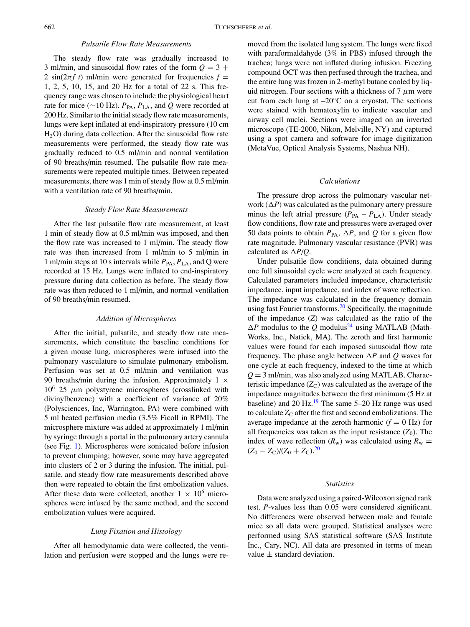# *Pulsatile Flow Rate Measurements*

The steady flow rate was gradually increased to 3 ml/min, and sinusoidal flow rates of the form  $Q = 3 +$ 2 sin( $2\pi f t$ ) ml/min were generated for frequencies  $f =$ 1, 2, 5, 10, 15, and 20 Hz for a total of 22 s. This frequency range was chosen to include the physiological heart rate for mice ( $\sim$ 10 Hz). *P*<sub>PA</sub>, *P*<sub>LA</sub>, and *Q* were recorded at 200 Hz. Similar to the initial steady flow rate measurements, lungs were kept inflated at end-inspiratory pressure (10 cm H2O) during data collection. After the sinusoidal flow rate measurements were performed, the steady flow rate was gradually reduced to 0.5 ml/min and normal ventilation of 90 breaths/min resumed. The pulsatile flow rate measurements were repeated multiple times. Between repeated measurements, there was 1 min of steady flow at 0.5 ml/min with a ventilation rate of 90 breaths/min.

## *Steady Flow Rate Measurements*

After the last pulsatile flow rate measurement, at least 1 min of steady flow at 0.5 ml/min was imposed, and then the flow rate was increased to 1 ml/min. The steady flow rate was then increased from 1 ml/min to 5 ml/min in 1 ml/min steps at 10 s intervals while  $P_{PA}$ ,  $P_{LA}$ , and Q were recorded at 15 Hz. Lungs were inflated to end-inspiratory pressure during data collection as before. The steady flow rate was then reduced to 1 ml/min, and normal ventilation of 90 breaths/min resumed.

#### *Addition of Microspheres*

After the initial, pulsatile, and steady flow rate measurements, which constitute the baseline conditions for a given mouse lung, microspheres were infused into the pulmonary vasculature to simulate pulmonary embolism. Perfusion was set at 0.5 ml/min and ventilation was 90 breaths/min during the infusion. Approximately  $1 \times$  $10^6$  25  $\mu$ m polystyrene microspheres (crosslinked with divinylbenzene) with a coefficient of variance of 20% (Polysciences, Inc, Warrington, PA) were combined with 5 ml heated perfusion media (3.5% Ficoll in RPMI). The microsphere mixture was added at approximately 1 ml/min by syringe through a portal in the pulmonary artery cannula (see Fig. [1\)](#page-1-0). Microspheres were sonicated before infusion to prevent clumping; however, some may have aggregated into clusters of 2 or 3 during the infusion. The initial, pulsatile, and steady flow rate measurements described above then were repeated to obtain the first embolization values. After these data were collected, another  $1 \times 10^6$  microspheres were infused by the same method, and the second embolization values were acquired.

#### *Lung Fixation and Histology*

After all hemodynamic data were collected, the ventilation and perfusion were stopped and the lungs were removed from the isolated lung system. The lungs were fixed with paraformaldahyde (3% in PBS) infused through the trachea; lungs were not inflated during infusion. Freezing compound OCT was then perfused through the trachea, and the entire lung was frozen in 2-methyl butane cooled by liquid nitrogen. Four sections with a thickness of 7  $\mu$ m were cut from each lung at  $-20^\circ$ C on a cryostat. The sections were stained with hematoxylin to indicate vascular and airway cell nuclei. Sections were imaged on an inverted microscope (TE-2000, Nikon, Melville, NY) and captured using a spot camera and software for image digitization (MetaVue, Optical Analysis Systems, Nashua NH).

### *Calculations*

The pressure drop across the pulmonary vascular network  $(\Delta P)$  was calculated as the pulmonary artery pressure minus the left atrial pressure  $(P_{PA} - P_{LA})$ . Under steady flow conditions, flow rate and pressures were averaged over 50 data points to obtain  $P_{\text{PA}}$ ,  $\Delta P$ , and Q for a given flow rate magnitude. Pulmonary vascular resistance (PVR) was calculated as  $\Delta P/Q$ .

Under pulsatile flow conditions, data obtained during one full sinusoidal cycle were analyzed at each frequency. Calculated parameters included impedance, characteristic impedance, input impedance, and index of wave reflection. The impedance was calculated in the frequency domain using fast Fourier transforms[.](#page-8-8)<sup>20</sup> Specifically, the magnitude of the impedance (*Z*) was calculated as the ratio of the  $\Delta P$  modulu[s](#page-8-9) to the *Q* modulus<sup>24</sup> using MATLAB (Math-Works, Inc., Natick, MA). The zeroth and first harmonic values were found for each imposed sinusoidal flow rate frequency. The phase angle between  $\Delta P$  and  $Q$  waves for one cycle at each frequency, indexed to the time at which  $Q = 3$  ml/min, was also analyzed using MATLAB. Characteristic impedance  $(Z_C)$  was calculated as the average of the impedance magnitudes between the first minimum (5 Hz at baseline) and 20 Hz[.](#page-8-10) $^{19}$  The same 5–20 Hz range was used to calculate  $Z_C$  after the first and second embolizations. The average impedance at the zeroth harmonic  $(f = 0$  Hz) for all frequencies was taken as the input resistance  $(Z_0)$ . The index of wave reflection  $(R_w)$  was calculated using  $R_w =$  $(Z_0 - Z_{\rm C})/(Z_0 + Z_{\rm C})^{20}$ 

#### *Statistics*

Data were analyzed using a paired-Wilcoxon signed rank test. *P*-values less than 0.05 were considered significant. No differences were observed between male and female mice so all data were grouped. Statistical analyses were performed using SAS statistical software (SAS Institute Inc., Cary, NC). All data are presented in terms of mean value  $\pm$  standard deviation.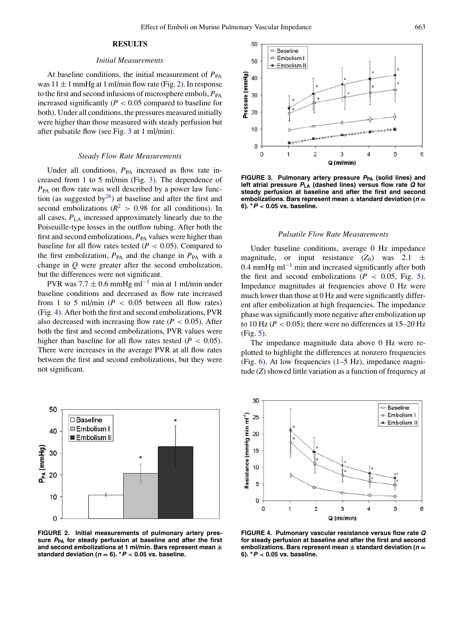# **RESULTS**

#### *Initial Measurements*

At baseline conditions, the initial measurement of  $P_{PA}$ was  $11 \pm 1$  mmHg at 1 ml/min flow rate (Fig. [2\)](#page-3-0). In response to the first and second infusions of microsphere emboli,  $P_{PA}$ increased significantly  $(P < 0.05$  compared to baseline for both). Under all conditions, the pressures measured initially were higher than those measured with steady perfusion but after pulsatile flow (see Fig. [3](#page-3-1) at 1 ml/min).

#### *Steady Flow Rate Measurements*

Under all conditions,  $P_{PA}$  increased as flow rate increased from 1 to 5 ml/min (Fig. [3\)](#page-3-1). The dependence of  $P_{PA}$  on flow rate was well described by a power law function (as suggested b[y](#page-8-11) $^{28}$ [\)](#page-8-11) at baseline and after the first and second embolizations ( $R^2 > 0.98$  for all conditions). In all cases, *P*LA increased approximately linearly due to the Poiseuille-type losses in the outflow tubing. After both the first and second embolizations,  $P_{PA}$  values were higher than baseline for all flow rates tested  $(P < 0.05)$ . Compared to the first embolization,  $P_{PA}$  and the change in  $P_{PA}$  with a change in *Q* were greater after the second embolization, but the differences were not significant.

PVR was  $7.7 \pm 0.6$  mmHg ml<sup>-1</sup> min at 1 ml/min under baseline conditions and decreased as flow rate increased from 1 to 5 ml/min ( $P < 0.05$  between all flow rates) (Fig. [4\)](#page-3-2). After both the first and second embolizations, PVR also decreased with increasing flow rate  $(P < 0.05)$ . After both the first and second embolizations, PVR values were higher than baseline for all flow rates tested  $(P < 0.05)$ . There were increases in the average PVR at all flow rates between the first and second embolizations, but they were not significant.

<span id="page-3-0"></span>



<span id="page-3-1"></span>

**FIGURE 3. Pulmonary artery pressure <sup>P</sup>PA (solid lines) and left atrial pressure <sup>P</sup>LA (dashed lines) versus flow rate Q for steady perfusion at baseline and after the first and second embolizations. Bars represent mean ± standard deviation (<sup>n</sup> = 6). <sup>∗</sup><sup>P</sup>** *<* **0.05 vs. baseline.**

#### *Pulsatile Flow Rate Measurements*

Under baseline conditions, average 0 Hz impedance magnitude, or input resistance  $(Z_0)$  was  $2.1 \pm$ 0.4 mmHg m $l^{-1}$  min and increased significantly after both the first and second embolizations ( $P < 0.05$ , Fig. [5\)](#page-4-0). Impedance magnitudes at frequencies above 0 Hz were much lower than those at 0 Hz and were significantly different after embolization at high frequencies. The impedance phase was significantly more negative after embolization up to 10 Hz ( $P < 0.05$ ); there were no differences at 15–20 Hz (Fig. [5\)](#page-4-0).

The impedance magnitude data above 0 Hz were replotted to highlight the differences at nonzero frequencies (Fig. [6\)](#page-4-1). At low frequencies (1–5 Hz), impedance magnitude (*Z*) showed little variation as a function of frequency at

<span id="page-3-2"></span>

**FIGURE 4. Pulmonary vascular resistance versus flow rate Q for steady perfusion at baseline and after the first and second embolizations. Bars represent mean ± standard deviation (<sup>n</sup> = 6). <sup>∗</sup><sup>P</sup>** *<* **0.05 vs. baseline.**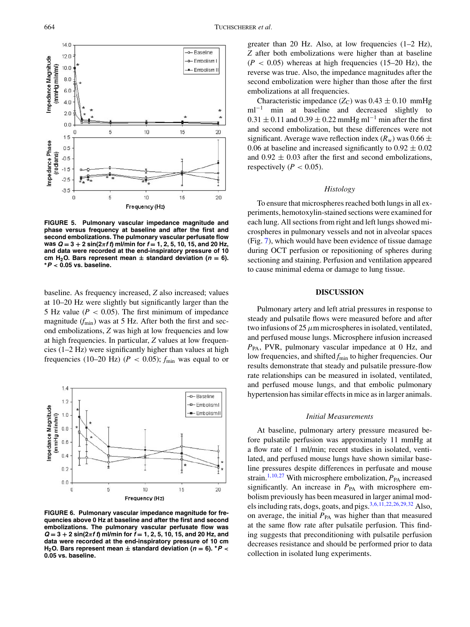<span id="page-4-0"></span>

**FIGURE 5. Pulmonary vascular impedance magnitude and phase versus frequency at baseline and after the first and second embolizations. The pulmonary vascular perfusate flow was Q = 3 + 2 sin(2***π***f <sup>t</sup>) ml/min for f = 1, 2, 5, 10, 15, and 20 Hz, and data were recorded at the end-inspiratory pressure of 10 cm** H<sub>2</sub>O. Bars represent mean  $\pm$  standard deviation ( $n = 6$ ). **\***  $P < 0.05$  vs. baseline.

baseline. As frequency increased, *Z* also increased; values at 10–20 Hz were slightly but significantly larger than the 5 Hz value ( $P < 0.05$ ). The first minimum of impedance magnitude ( $f_{\text{min}}$ ) was at 5 Hz. After both the first and second embolizations, *Z* was high at low frequencies and low at high frequencies. In particular, *Z* values at low frequencies (1–2 Hz) were significantly higher than values at high frequencies (10–20 Hz) ( $P < 0.05$ );  $f_{\text{min}}$  was equal to or

<span id="page-4-1"></span>

**FIGURE 6. Pulmonary vascular impedance magnitude for frequencies above 0 Hz at baseline and after the first and second embolizations. The pulmonary vascular perfusate flow was**  $Q = 3 + 2 \sin(2\pi f \cdot t)$  ml/min for  $f = 1, 2, 5, 10, 15,$  and 20 Hz, and **data were recorded at the end-inspiratory pressure of 10 cm H<sub>2</sub>O. Bars represent mean**  $\pm$  **standard deviation** ( $n = 6$ ).  $*P <$ **0.05 vs. baseline.**

greater than 20 Hz. Also, at low frequencies (1–2 Hz), *Z* after both embolizations were higher than at baseline  $(P < 0.05)$  whereas at high frequencies  $(15-20 \text{ Hz})$ , the reverse was true. Also, the impedance magnitudes after the second embolization were higher than those after the first embolizations at all frequencies.

Characteristic impedance  $(Z_C)$  was  $0.43 \pm 0.10$  mmHg  $ml^{-1}$  min at baseline and decreased slightly to  $0.31 \pm 0.11$  and  $0.39 \pm 0.22$  mmHg ml<sup>-1</sup> min after the first and second embolization, but these differences were not significant. Average wave reflection index  $(R_w)$  was 0.66  $\pm$ 0.06 at baseline and increased significantly to  $0.92 \pm 0.02$ and  $0.92 \pm 0.03$  after the first and second embolizations, respectively ( $P < 0.05$ ).

### *Histology*

To ensure that microspheres reached both lungs in all experiments, hemotoxylin-stained sections were examined for each lung. All sections from right and left lungs showed microspheres in pulmonary vessels and not in alveolar spaces (Fig. [7\)](#page-5-0), which would have been evidence of tissue damage during OCT perfusion or repositioning of spheres during sectioning and staining. Perfusion and ventilation appeared to cause minimal edema or damage to lung tissue.

## **DISCUSSION**

Pulmonary artery and left atrial pressures in response to steady and pulsatile flows were measured before and after two infusions of 25  $\mu$ m microspheres in isolated, ventilated, and perfused mouse lungs. Microsphere infusion increased *P*PA, PVR, pulmonary vascular impedance at 0 Hz, and low frequencies, and shifted *f*<sub>min</sub> to higher frequencies. Our results demonstrate that steady and pulsatile pressure-flow rate relationships can be measured in isolated, ventilated, and perfused mouse lungs, and that embolic pulmonary hypertension has similar effects in mice as in larger animals.

#### *Initial Measurements*

At baseline, pulmonary artery pressure measured before pulsatile perfusion was approximately 11 mmHg at a flow rate of 1 ml/min; recent studies in isolated, ventilated, and perfused mouse lungs have shown similar baseline pressures despite differences in perfusate and mouse strain[.](#page-7-4)<sup>1,10,27</sup> With microsphere embolization,  $P_{PA}$  increased significantly. An increase in  $P_{PA}$  with microsphere embolism previously has been measured in larger animal mod-els including rats, dogs, goats, and pigs[.](#page-7-7)<sup>3,6,11,22,26,29,32</sup> Also, on average, the initial  $P_{PA}$  was higher than that measured at the same flow rate after pulsatile perfusion. This finding suggests that preconditioning with pulsatile perfusion decreases resistance and should be performed prior to data collection in isolated lung experiments.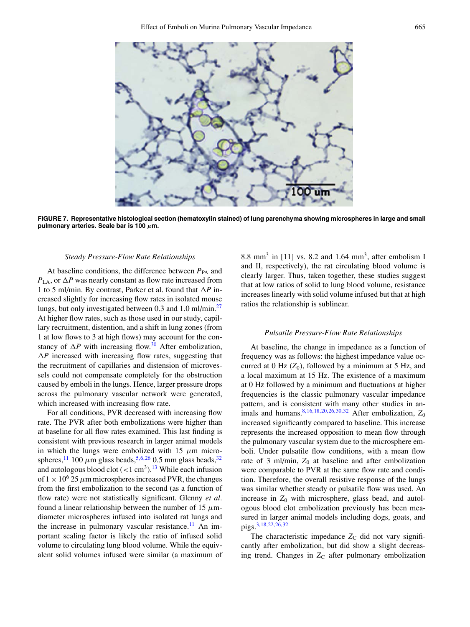

<span id="page-5-0"></span>

**FIGURE 7. Representative histological section (hematoxylin stained) of lung parenchyma showing microspheres in large and small pulmonary arteries. Scale bar is 100** *µ***m.**

## *Steady Pressure-Flow Rate Relationships*

At baseline conditions, the difference between  $P_{PA}$  and  $P_{LA}$ , or  $\Delta P$  was nearly constant as flow rate increased from 1 to 5 ml/min. By contrast, Parker et al. found that  $\Delta P$  increased slightly for increasing flow rates in isolated mouse lungs, but only investigated between 0.3 and 1.0 ml/min[.](#page-8-6)<sup>27</sup> At higher flow rates, such as those used in our study, capillary recruitment, distention, and a shift in lung zones (from 1 at low flows to 3 at high flows) may account for the constancy of  $\Delta P$  with increasing flow[.](#page-8-14)<sup>30</sup> After embolization,  $\Delta P$  increased with increasing flow rates, suggesting that the recruitment of capillaries and distension of microvessels could not compensate completely for the obstruction caused by emboli in the lungs. Hence, larger pressure drops across the pulmonary vascular network were generated, which increased with increasing flow rate.

For all conditions, PVR decreased with increasing flow rate. The PVR after both embolizations were higher than at baseline for all flow rates examined. This last finding is consistent with previous research in larger animal models in which the lungs were embolized with 15  $\mu$ m micro-spheres[,](#page-8-3)<sup>11</sup> 100  $\mu$ m glass beads,<sup>5,6,26</sup> 0.5 mm glass beads,<sup>32</sup> and autologous blood clot  $(< 1 \text{ cm}^3)$ [.](#page-7-10)<sup>13</sup> While each infusion of  $1 \times 10^6$  25  $\mu$ m microspheres increased PVR, the changes from the first embolization to the second (as a function of flow rate) were not statistically significant. Glenny *et al.* found a linear relationship between the number of 15  $\mu$ mdiameter microspheres infused into isolated rat lungs and the increase in pulmonary vascular resistance[.](#page-7-1)<sup>11</sup> An important scaling factor is likely the ratio of infused solid volume to circulating lung blood volume. While the equivalent solid volumes infused were similar (a maximum of

8.8 mm<sup>3</sup> in [11] vs. 8.2 and 1.64 mm<sup>3</sup>, after embolism I and II, respectively), the rat circulating blood volume is clearly larger. Thus, taken together, these studies suggest that at low ratios of solid to lung blood volume, resistance increases linearly with solid volume infused but that at high ratios the relationship is sublinear.

# *Pulsatile Pressure-Flow Rate Relationships*

At baseline, the change in impedance as a function of frequency was as follows: the highest impedance value occurred at 0 Hz  $(Z_0)$ , followed by a minimum at 5 Hz, and a local maximum at 15 Hz. The existence of a maximum at 0 Hz followed by a minimum and fluctuations at higher frequencies is the classic pulmonary vascular impedance pattern, and is consistent with many other studies in an-imals and humans[.](#page-7-0)<sup>8,16,18,20,26,30,32</sup> After embolization,  $Z_0$ increased significantly compared to baseline. This increase represents the increased opposition to mean flow through the pulmonary vascular system due to the microsphere emboli. Under pulsatile flow conditions, with a mean flow rate of 3 ml/min,  $Z_0$  at baseline and after embolization were comparable to PVR at the same flow rate and condition. Therefore, the overall resistive response of the lungs was similar whether steady or pulsatile flow was used. An increase in  $Z_0$  with microsphere, glass bead, and autologous blood clot embolization previously has been measured in larger animal models including dogs, goats, and pigs[.](#page-7-7)3,18,22,26,32

The characteristic impedance  $Z_C$  did not vary significantly after embolization, but did show a slight decreasing trend. Changes in Z<sub>C</sub> after pulmonary embolization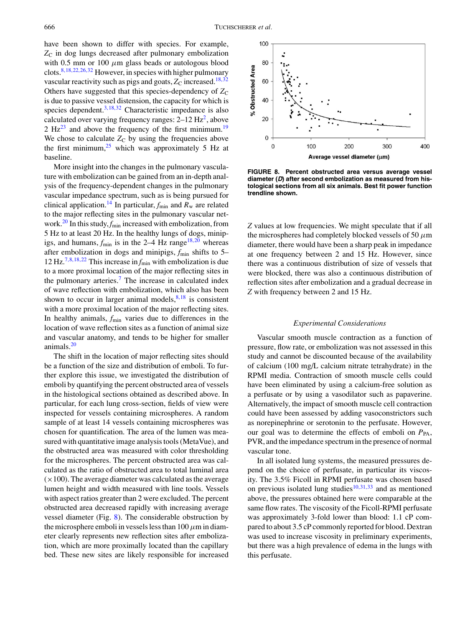have been shown to differ with species. For example,  $Z_{\rm C}$  in dog lungs decreased after pulmonary embolization with 0.5 mm or 100  $\mu$ m glass beads or autologous blood clots[.](#page-7-0)8,18,22,26,32 However, in species with higher pulmonary vascular reactivity such as pigs and goats,  $Z_C$  increased[.](#page-8-1)<sup>18,32</sup> Others have suggested that this species-dependency of  $Z_C$ is due to passive vessel distension, the capacity for which is species dependent[.](#page-7-7) $3,18,32$  Characteristic impedance is also calculated over varying frequency ranges:  $2-12$  H[z](#page-7-11)<sup>2</sup>[,](#page-7-11) above 2  $Hz^{23}$  $Hz^{23}$  $Hz^{23}$  and above the frequency of the first minimum[.](#page-8-10)<sup>19</sup> We chose to calculate  $Z_C$  by using the frequencies above the first minimum[,](#page-8-16) $25$  which was approximately 5 Hz at baseline.

More insight into the changes in the pulmonary vasculature with embolization can be gained from an in-depth analysis of the frequency-dependent changes in the pulmonary vascular impedance spectrum, such as is being pursued for clinical application[.](#page-7-12)<sup>14</sup> In particular,  $f_{\text{min}}$  and  $R_w$  are related to the major reflecting sites in the pulmonary vascular net-work[.](#page-8-8)<sup>20</sup> In this study,  $f_{\text{min}}$  increased with embolization, from 5 Hz to at least 20 Hz. In the healthy lungs of dogs, minipigs, and humans,  $f_{\text{min}}$  $f_{\text{min}}$  $f_{\text{min}}$  is in the 2–4 Hz range<sup>18,20</sup> whereas after embolization in dogs and minipigs,  $f_{\text{min}}$  shifts to 5– 12 Hz[.](#page-7-13)<sup>7,8,18,22</sup> This increase in  $f_{\text{min}}$  with embolization is due to a more proximal location of the major reflecting sites in the pulmonary arteries[.](#page-7-13)<sup>7</sup> The increase in calculated index of wave reflection with embolization, which also has been shown to occur in larger animal models[,](#page-7-0)  $8,18$  is consistent with a more proximal location of the major reflecting sites. In healthy animals,  $f_{\text{min}}$  varies due to differences in the location of wave reflection sites as a function of animal size and vascular anatomy, and tends to be higher for smaller animals[.](#page-8-8) $20$ 

The shift in the location of major reflecting sites should be a function of the size and distribution of emboli. To further explore this issue, we investigated the distribution of emboli by quantifying the percent obstructed area of vessels in the histological sections obtained as described above. In particular, for each lung cross-section, fields of view were inspected for vessels containing microspheres. A random sample of at least 14 vessels containing microspheres was chosen for quantification. The area of the lumen was measured with quantitative image analysis tools (MetaVue), and the obstructed area was measured with color thresholding for the microspheres. The percent obstructed area was calculated as the ratio of obstructed area to total luminal area  $(x100)$ . The average diameter was calculated as the average lumen height and width measured with line tools. Vessels with aspect ratios greater than 2 were excluded. The percent obstructed area decreased rapidly with increasing average vessel diameter (Fig. [8\)](#page-6-0). The considerable obstruction by the microsphere emboli in vessels less than  $100 \mu m$  in diameter clearly represents new reflection sites after embolization, which are more proximally located than the capillary bed. These new sites are likely responsible for increased

<span id="page-6-0"></span>

**FIGURE 8. Percent obstructed area versus average vessel diameter (D) after second embolization as measured from histological sections from all six animals. Best fit power function trendline shown.**

*Z* values at low frequencies. We might speculate that if all the microspheres had completely blocked vessels of 50  $\mu$ m diameter, there would have been a sharp peak in impedance at one frequency between 2 and 15 Hz. However, since there was a continuous distribution of size of vessels that were blocked, there was also a continuous distribution of reflection sites after embolization and a gradual decrease in *Z* with frequency between 2 and 15 Hz.

### *Experimental Considerations*

Vascular smooth muscle contraction as a function of pressure, flow rate, or embolization was not assessed in this study and cannot be discounted because of the availability of calcium (100 mg/L calcium nitrate tetrahydrate) in the RPMI media. Contraction of smooth muscle cells could have been eliminated by using a calcium-free solution as a perfusate or by using a vasodilator such as papaverine. Alternatively, the impact of smooth muscle cell contraction could have been assessed by adding vasoconstrictors such as norepinephrine or serotonin to the perfusate. However, our goal was to determine the effects of emboli on  $P_{PA}$ , PVR, and the impedance spectrum in the presence of normal vascular tone.

In all isolated lung systems, the measured pressures depend on the choice of perfusate, in particular its viscosity. The 3.5% Ficoll in RPMI perfusate was chosen based on previou[s](#page-7-5) isolated lung studies $10,31,33$  and as mentioned above, the pressures obtained here were comparable at the same flow rates. The viscosity of the Ficoll-RPMI perfusate was approximately 3-fold lower than blood: 1.1 cP compared to about 3.5 cP commonly reported for blood. Dextran was used to increase viscosity in preliminary experiments, but there was a high prevalence of edema in the lungs with this perfusate.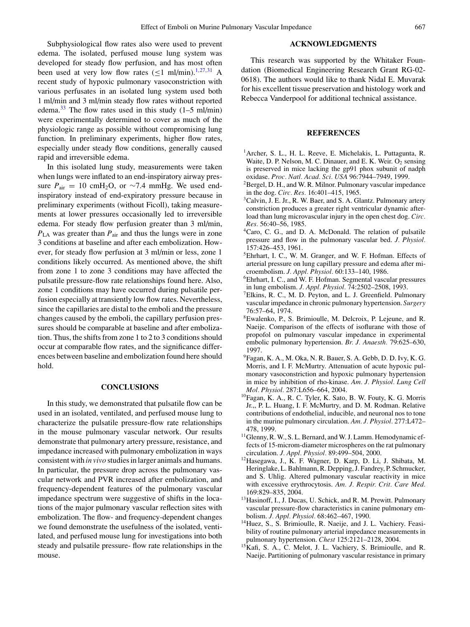Subphysiological flow rates also were used to prevent edema. The isolated, perfused mouse lung system was developed for steady flow perfusion, and has most often been used at very low flow rates  $(\leq 1 \text{ ml/min})$ [.](#page-7-4)<sup>1,27,31</sup> A recent study of hypoxic pulmonary vasoconstriction with various perfusates in an isolated lung system used both 1 ml/min and 3 ml/min steady flow rates without reported edema[.](#page-8-17)<sup>33</sup> The flow rates used in this study  $(1-5 \text{ ml/min})$ were experimentally determined to cover as much of the physiologic range as possible without compromising lung function. In preliminary experiments, higher flow rates, especially under steady flow conditions, generally caused rapid and irreversible edema.

In this isolated lung study, measurements were taken when lungs were inflated to an end-inspiratory airway pressure  $P_{\text{air}} = 10 \text{ cm}H_2\text{O}$ , or ~7.4 mmHg. We used endinspiratory instead of end-expiratory pressure because in preliminary experiments (without Ficoll), taking measurements at lower pressures occasionally led to irreversible edema. For steady flow perfusion greater than 3 ml/min,  $P_{LA}$  was greater than  $P_{air}$  and thus the lungs were in zone 3 conditions at baseline and after each embolization. However, for steady flow perfusion at 3 ml/min or less, zone 1 conditions likely occurred. As mentioned above, the shift from zone 1 to zone 3 conditions may have affected the pulsatile pressure-flow rate relationships found here. Also, zone 1 conditions may have occurred during pulsatile perfusion especially at transiently low flow rates. Nevertheless, since the capillaries are distal to the emboli and the pressure changes caused by the emboli, the capillary perfusion pressures should be comparable at baseline and after embolization. Thus, the shifts from zone 1 to 2 to 3 conditions should occur at comparable flow rates, and the significance differences between baseline and embolization found here should hold.

## **CONCLUSIONS**

In this study, we demonstrated that pulsatile flow can be used in an isolated, ventilated, and perfused mouse lung to characterize the pulsatile pressure-flow rate relationships in the mouse pulmonary vascular network. Our results demonstrate that pulmonary artery pressure, resistance, and impedance increased with pulmonary embolization in ways consistent with *in vivo* studies in larger animals and humans. In particular, the pressure drop across the pulmonary vascular network and PVR increased after embolization, and frequency-dependent features of the pulmonary vascular impedance spectrum were suggestive of shifts in the locations of the major pulmonary vascular reflection sites with embolization. The flow- and frequency-dependent changes we found demonstrate the usefulness of the isolated, ventilated, and perfused mouse lung for investigations into both steady and pulsatile pressure- flow rate relationships in the mouse.

## **ACKNOWLEDGMENTS**

This research was supported by the Whitaker Foundation (Biomedical Engineering Research Grant RG-02- 0618). The authors would like to thank Nidal E. Muvarak for his excellent tissue preservation and histology work and Rebecca Vanderpool for additional technical assistance.

#### <span id="page-7-4"></span>**REFERENCES**

- <sup>1</sup> Archer, S. L., H. L. Reeve, E. Michelakis, L. Puttagunta, R. Waite, D. P. Nelson, M. C. Dinauer, and E. K. Weir.  $O_2$  sensing is preserved in mice lacking the gp91 phox subunit of nadph oxidase. *Proc. Natl. Acad. Sci. USA* 96:7944–7949, 1999.
- 2Bergel, D. H., and W. R. Milnor. Pulmonary vascular impedance in the dog. *Circ. Res.* 16:401–415, 1965.
- <span id="page-7-11"></span><sup>3</sup>Calvin, J. E. Jr., R. W. Baer, and S. A. Glantz. Pulmonary artery constriction produces a greater right ventricular dynamic afterload than lung microvascular injury in the open chest dog. *Circ. Res.* 56:40–56, 1985.
- <span id="page-7-7"></span><sup>4</sup>Caro, C. G., and D. A. McDonald. The relation of pulsatile pressure and flow in the pulmonary vascular bed. *J. Physiol.* 157:426–453, 1961.
- <span id="page-7-6"></span>5Ehrhart, I. C., W. M. Granger, and W. F. Hofman. Effects of arterial pressure on lung capillary pressure and edema after microembolism. *J. Appl. Physiol.* 60:133–140, 1986.
- <span id="page-7-9"></span>6Ehrhart, I. C., and W. F. Hofman. Segmental vascular pressures in lung embolism. *J. Appl. Physiol.* 74:2502–2508, 1993.
- <span id="page-7-8"></span>7Elkins, R. C., M. D. Peyton, and L. J. Greenfield. Pulmonary vascular impedance in chronic pulmonary hypertension. *Surgery* 76:57–64, 1974.
- <span id="page-7-13"></span>8Ewalenko, P., S. Brimioulle, M. Delcroix, P. Lejeune, and R. Naeije. Comparison of the effects of isoflurane with those of propofol on pulmonary vascular impedance in experimental embolic pulmonary hypertension. *Br. J. Anaesth.* 79:625–630, 1997.
- <span id="page-7-0"></span>9Fagan, K. A., M. Oka, N. R. Bauer, S. A. Gebb, D. D. Ivy, K. G. Morris, and I. F. McMurtry. Attenuation of acute hypoxic pulmonary vasoconstriction and hypoxic pulmonary hypertension in mice by inhibition of rho-kinase. *Am. J. Physiol. Lung Cell Mol. Physiol.* 287:L656–664, 2004.
- <span id="page-7-2"></span>10Fagan, K. A., R. C. Tyler, K. Sato, B. W. Fouty, K. G. Morris Jr.,, P. L. Huang, I. F. McMurtry, and D. M. Rodman. Relative contributions of endothelial, inducible, and neuronal nos to tone in the murine pulmonary circulation. *Am. J. Physiol.* 277:L472– 478, 1999.
- <span id="page-7-5"></span><sup>11</sup>Glenny, R. W., S. L. Bernard, and W. J. Lamm. Hemodynamic effects of 15-microm-diameter microspheres on the rat pulmonary circulation. *J. Appl. Physiol.* 89:499–504, 2000.
- <span id="page-7-1"></span>12Hasegawa, J., K. F. Wagner, D. Karp, D. Li, J. Shibata, M. Heringlake, L. Bahlmann, R. Depping, J. Fandrey, P. Schmucker, and S. Uhlig. Altered pulmonary vascular reactivity in mice with excessive erythrocytosis. *Am. J. Respir. Crit. Care Med.* 169:829–835, 2004.
- <span id="page-7-3"></span><sup>13</sup> Hasinoff, I., J. Ducas, U. Schick, and R. M. Prewitt. Pulmonary vascular pressure-flow characteristics in canine pulmonary embolism. *J. Appl. Physiol.* 68:462–467, 1990.
- <span id="page-7-10"></span><sup>14</sup>Huez, S., S. Brimioulle, R. Naeije, and J. L. Vachiery. Feasibility of routine pulmonary arterial impedance measurements in pulmonary hypertension. *Chest* 125:2121–2128, 2004.
- <span id="page-7-12"></span><sup>15</sup>Kafi, S. A., C. Melot, J. L. Vachiery, S. Brimioulle, and R. Naeije. Partitioning of pulmonary vascular resistance in primary